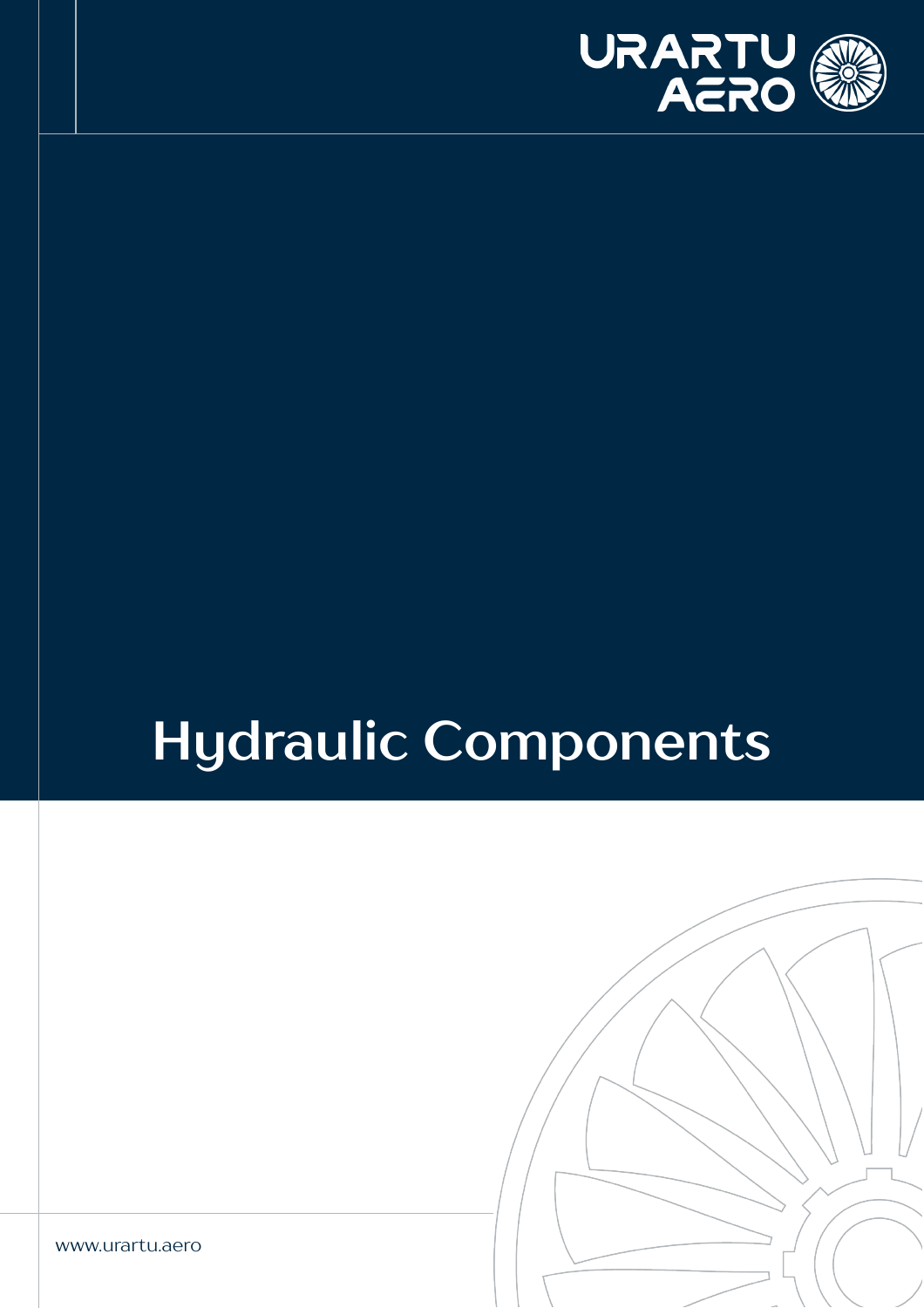

# **Hydraulic Components**

www.urartu.aero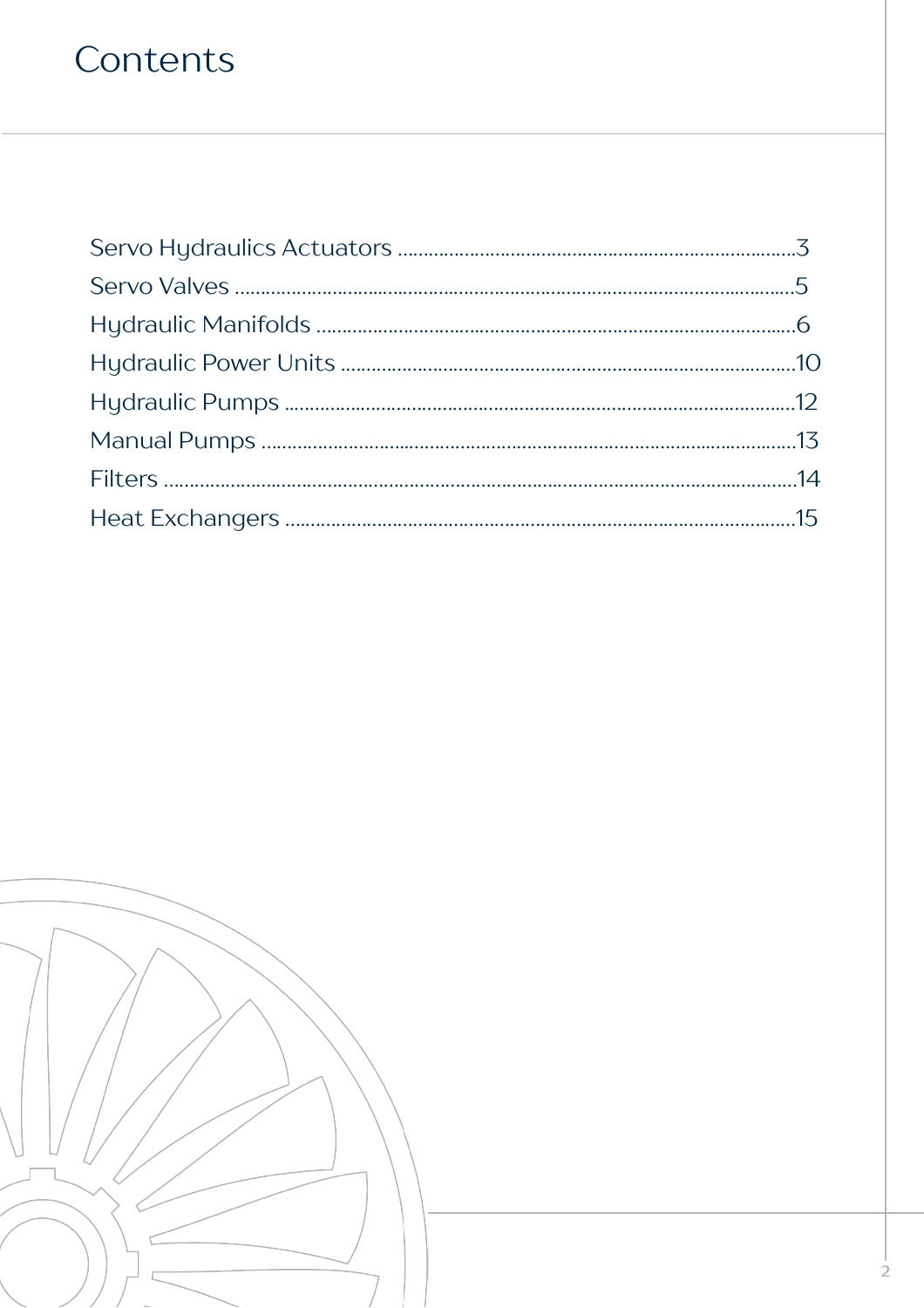### Contents



**2**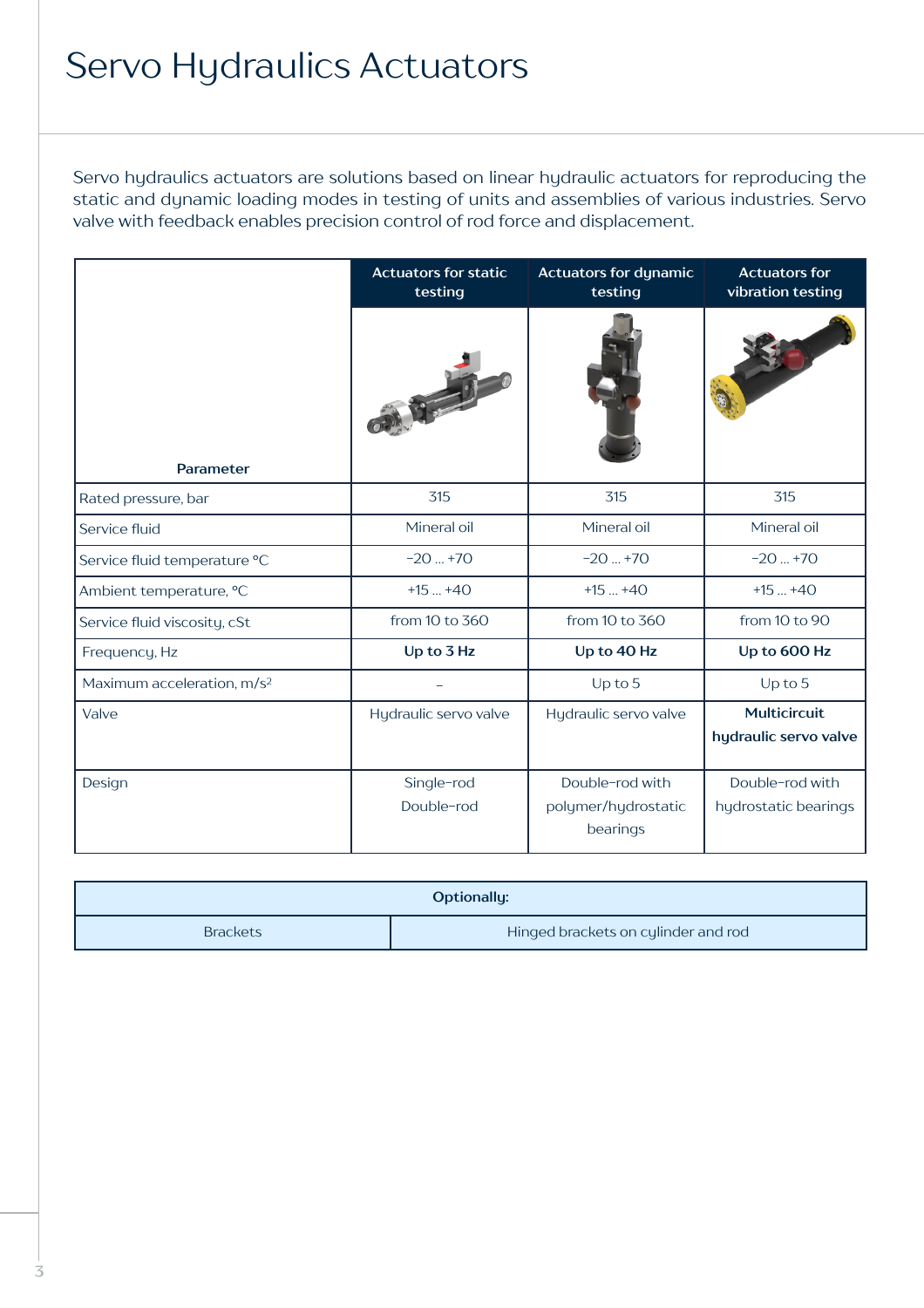### Servo Hydraulics Actuators

Servo hydraulics actuators are solutions based on linear hydraulic actuators for reproducing the static and dynamic loading modes in testing of units and assemblies of various industries. Servo valve with feedback enables precision control of rod force and displacement.

|                                        | <b>Actuators for static</b><br>testing | <b>Actuators for dynamic</b><br>testing            | <b>Actuators for</b><br>vibration testing |
|----------------------------------------|----------------------------------------|----------------------------------------------------|-------------------------------------------|
| Parameter                              |                                        |                                                    |                                           |
| Rated pressure, bar                    | 315                                    | 315                                                | 315                                       |
| Service fluid                          | Mineral oil                            | Mineral oil                                        | Mineral oil                               |
| Service fluid temperature °C           | $-20+70$                               | $-20+70$                                           | $-20+70$                                  |
| Ambient temperature, °C                | $+15+40$                               | $+15+40$                                           | $+15+40$                                  |
| Service fluid viscosity, cSt           | from 10 to 360                         | from 10 to 360                                     | from 10 to 90                             |
| Frequency, Hz                          | Up to 3 Hz                             | Up to 40 Hz                                        | Up to 600 Hz                              |
| Maximum acceleration, m/s <sup>2</sup> |                                        | Up to $5$                                          | Up to $5$                                 |
| Valve                                  | Hydraulic servo valve                  | Hydraulic servo valve                              | Multicircuit<br>hydraulic servo valve     |
| Design                                 | Single-rod<br>Double-rod               | Double-rod with<br>polymer/hydrostatic<br>bearings | Double-rod with<br>hydrostatic bearings   |

| Optionally:     |                                     |  |
|-----------------|-------------------------------------|--|
| <b>Brackets</b> | Hinged brackets on cylinder and rod |  |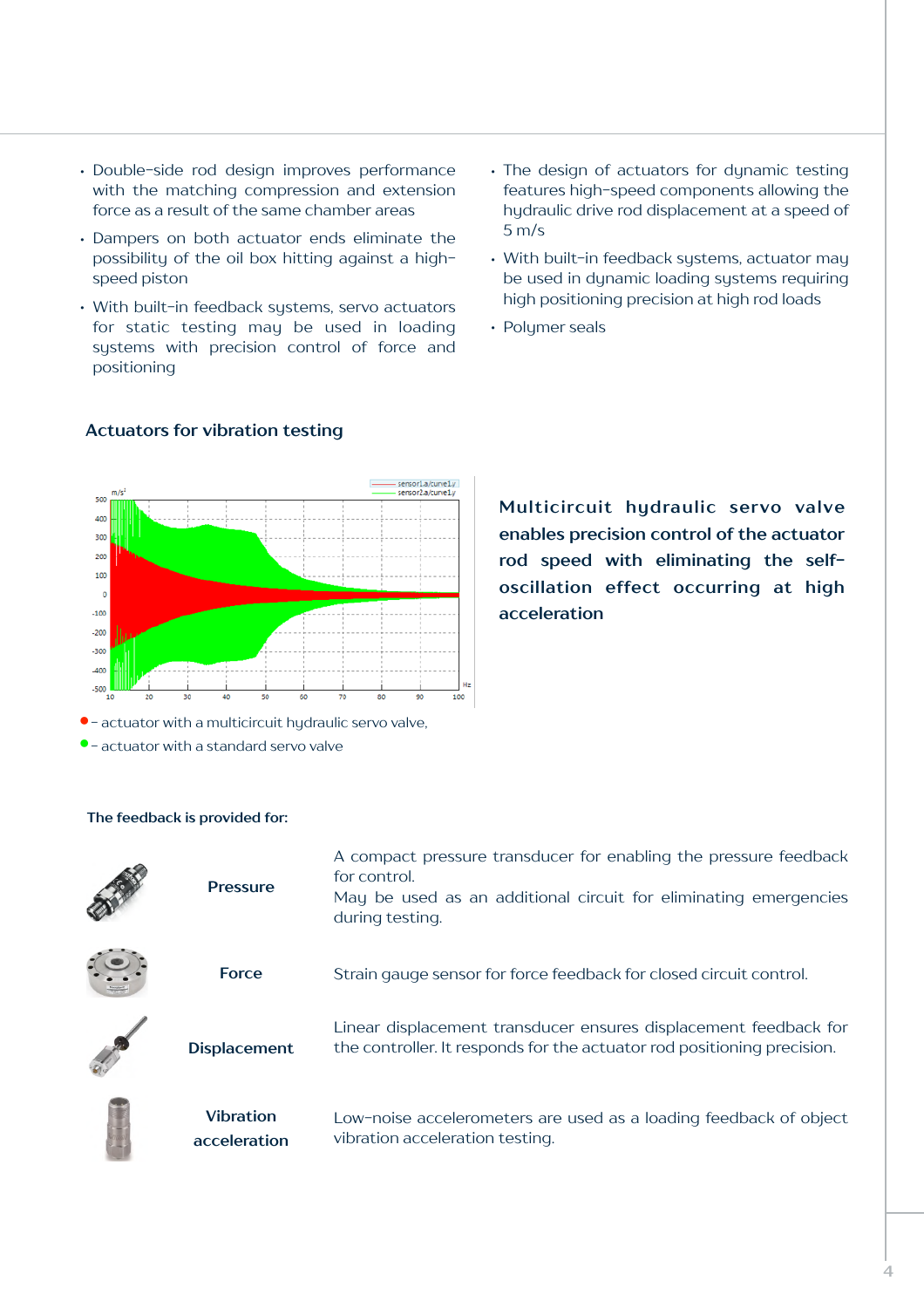- Double-side rod design improves performance with the matching compression and extension force as a result of the same chamber areas
- Dampers on both actuator ends eliminate the possibility of the oil box hitting against a highspeed piston
- With built-in feedback systems, servo actuators for static testing may be used in loading systems with precision control of force and positioning
- The design of actuators for dynamic testing features high-speed components allowing the hydraulic drive rod displacement at a speed of 5 m/s
- With built-in feedback systems, actuator may be used in dynamic loading systems requiring high positioning precision at high rod loads
- Polymer seals



#### **Actuators for vibration testing**

**Multicircuit hydraulic servo valve enables precision control of the actuator rod speed with eliminating the selfoscillation effect occurring at high acceleration**

| actuator with a marticle care rigardance ser                                                                                                                                                                                   |  |  |  |  |  |
|--------------------------------------------------------------------------------------------------------------------------------------------------------------------------------------------------------------------------------|--|--|--|--|--|
| the contract of the contract of the contract of the contract of the contract of the contract of the contract of the contract of the contract of the contract of the contract of the contract of the contract of the contract o |  |  |  |  |  |

• - actuator with a standard servo valve

| <b>Pressure</b>                  | A compact pressure transducer for enabling the pressure feedback<br>for control.<br>May be used as an additional circuit for eliminating emergencies<br>during testing. |
|----------------------------------|-------------------------------------------------------------------------------------------------------------------------------------------------------------------------|
| <b>Force</b>                     | Strain gauge sensor for force feedback for closed circuit control.                                                                                                      |
| <b>Displacement</b>              | Linear displacement transducer ensures displacement feedback for<br>the controller. It responds for the actuator rod positioning precision.                             |
| <b>Vibration</b><br>acceleration | Low-noise accelerometers are used as a loading feedback of object<br>vibration acceleration testing.                                                                    |

#### **The feedback is provided for:**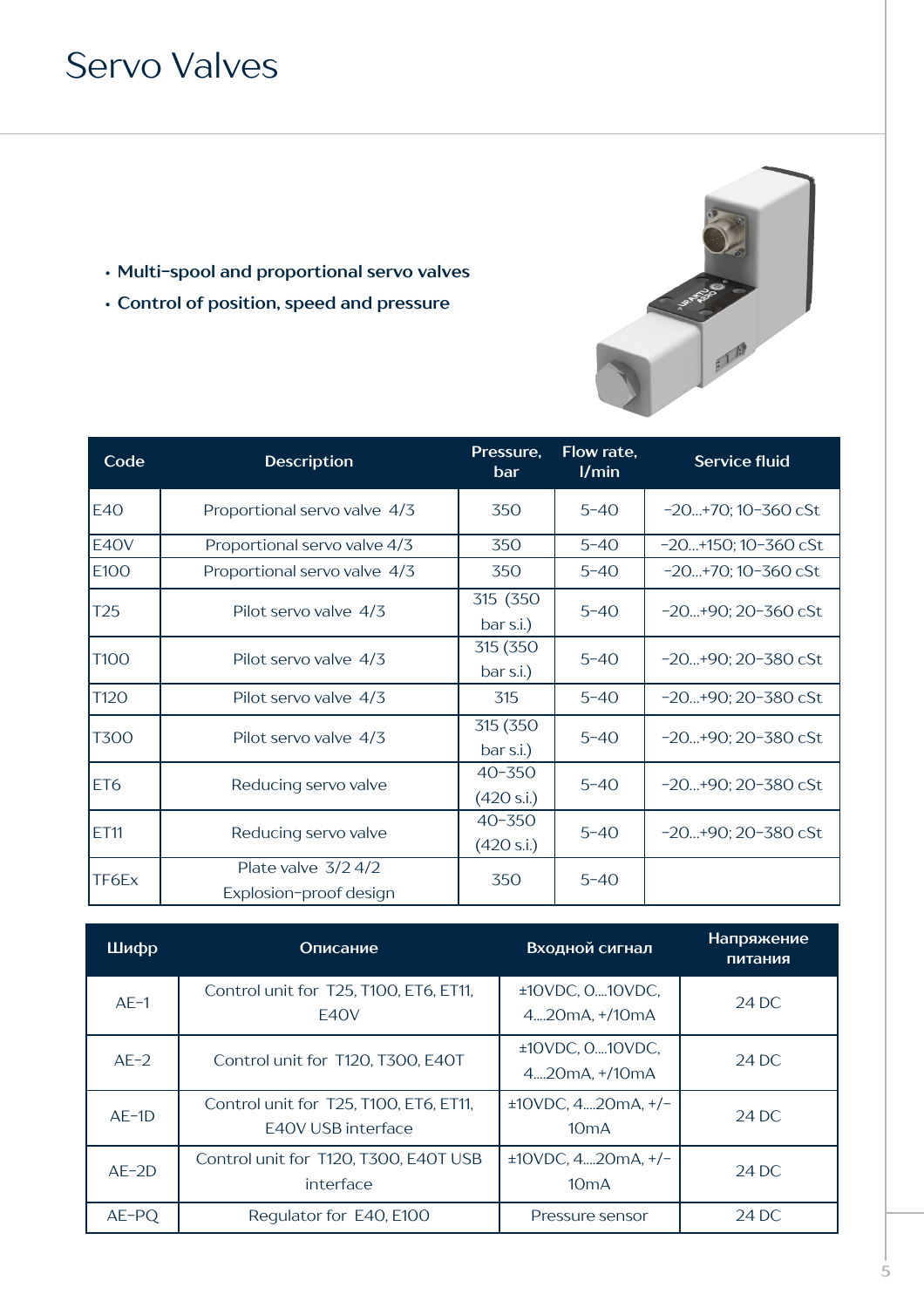### Servo Valves

- **• Multi-spool and proportional servo valves**
- **• Control of position, speed and pressure**

| Code            | <b>Description</b>                              | Pressure,<br>bar         | Flow rate,<br>1/min | <b>Service fluid</b>         |
|-----------------|-------------------------------------------------|--------------------------|---------------------|------------------------------|
| <b>E40</b>      | Proportional servo valve 4/3                    | 350                      | $5 - 40$            | $-20+70$ ; 10 $-360$ cSt     |
| E40V            | Proportional servo valve 4/3                    | 350                      | $5 - 40$            | $-20+150$ ; 10 $-360$ cSt    |
| E100            | Proportional servo valve 4/3                    | 350                      | $5 - 40$            | $-20+70$ ; 10 $-360$ cSt     |
| T <sub>25</sub> | Pilot servo valve 4/3                           | 315 (350<br>bar s.i.)    | $5 - 40$            | $-20+90; 20-360 \text{ cSt}$ |
| <b>T100</b>     | Pilot servo valve 4/3                           | 315 (350<br>bar s.i.)    | $5 - 40$            | $-20+90; 20-380$ cSt         |
| T120            | Pilot servo valve 4/3                           | 315                      | $5 - 40$            | $-20+90; 20-380 \text{ cSt}$ |
| <b>T300</b>     | Pilot servo valve 4/3                           | 315 (350<br>bar s.i.)    | $5 - 40$            | $-20+90; 20-380$ cSt         |
| ET <sub>6</sub> | Reducing servo valve                            | $40 - 350$<br>(420 s.i.) | $5 - 40$            | $-20+90; 20-380 \text{ cSt}$ |
| <b>ET11</b>     | Reducing servo valve                            | $40 - 350$<br>(420 s.i.) | $5 - 40$            | $-20+90; 20-380 \text{ cSt}$ |
| TF6Ex           | Plate valve $3/2$ 4/2<br>Explosion-proof design | 350                      | $5 - 40$            |                              |

**CONTRACTOR** 

| Шифр     | Описание                                                     | Входной сигнал                   | Напряжение<br>питания |
|----------|--------------------------------------------------------------|----------------------------------|-----------------------|
| $AE-1$   | Control unit for T25, T100, ET6, ET11,<br>E40V               | ±10VDC, 010VDC,<br>420mA, +/10mA | 24 DC                 |
| $AE-2$   | Control unit for T120, T300, E40T                            | ±10VDC, 010VDC,<br>420mA, +/10mA | 24 DC                 |
| $AE-1D$  | Control unit for T25, T100, ET6, ET11,<br>E40V USB interface | $±10VDC, 420mA, +/-$<br>10mA     | 24 DC                 |
| $AE-2D$  | Control unit for T120, T300, E40T USB<br>interface           | $±10VDC, 420mA, +/-$<br>10mA     | 24 DC                 |
| $AE$ -PQ | Regulator for E40, E100                                      | Pressure sensor                  | 24 DC                 |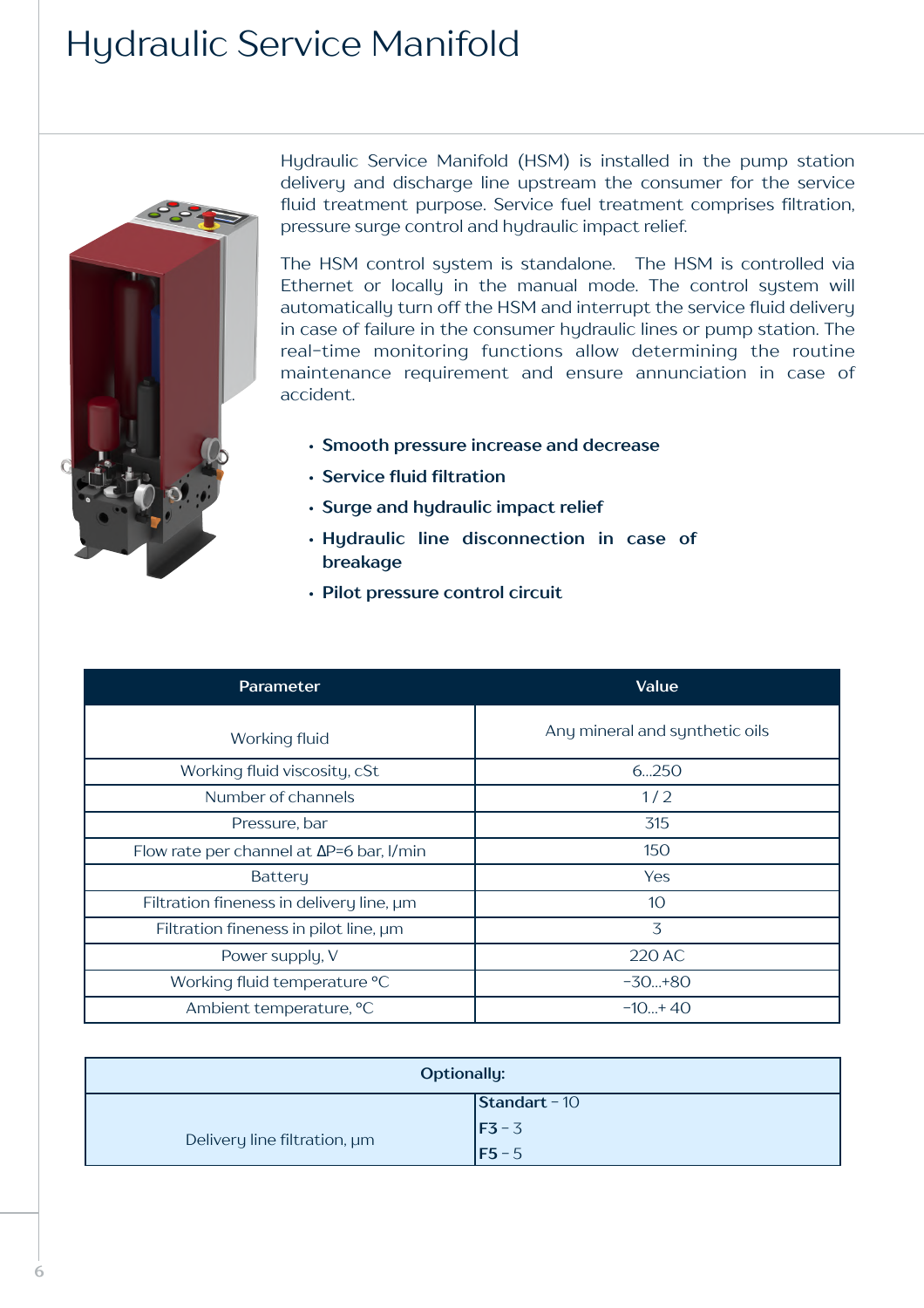### Hydraulic Service Manifold



Hydraulic Service Manifold (HSM) is installed in the pump station delivery and discharge line upstream the consumer for the service fluid treatment purpose. Service fuel treatment comprises filtration, pressure surge control and hydraulic impact relief.

The HSM control system is standalone. The HSM is controlled via Ethernet or locally in the manual mode. The control system will automatically turn off the HSM and interrupt the service fluid delivery in case of failure in the consumer hydraulic lines or pump station. The real-time monitoring functions allow determining the routine maintenance requirement and ensure annunciation in case of accident.

- **• Smooth pressure increase and decrease**
- **• Service fluid filtration**
- **• Surge and hydraulic impact relief**
- **• Hydraulic line disconnection in case of breakage**
- **• Pilot pressure control circuit**

| Parameter                                        | Value                          |
|--------------------------------------------------|--------------------------------|
| Working fluid                                    | Any mineral and synthetic oils |
| Working fluid viscosity, cSt                     | 6250                           |
| Number of channels                               | 1/2                            |
| Pressure, bar                                    | 315                            |
| Flow rate per channel at $\Delta P=6$ bar, I/min | 150                            |
| <b>Battery</b>                                   | <b>Yes</b>                     |
| Filtration fineness in delivery line, um         | 10                             |
| Filtration fineness in pilot line, um            | 3                              |
| Power supply, V                                  | 220 AC                         |
| Working fluid temperature °C                     | $-30+80$                       |
| Ambient temperature, °C                          | $-10+40$                       |

| <b>Optionally:</b>           |                       |  |
|------------------------------|-----------------------|--|
|                              | $\vert$ Standart - 10 |  |
| Delivery line filtration, um | $F3 - 3$              |  |
|                              | $F5 - 5$              |  |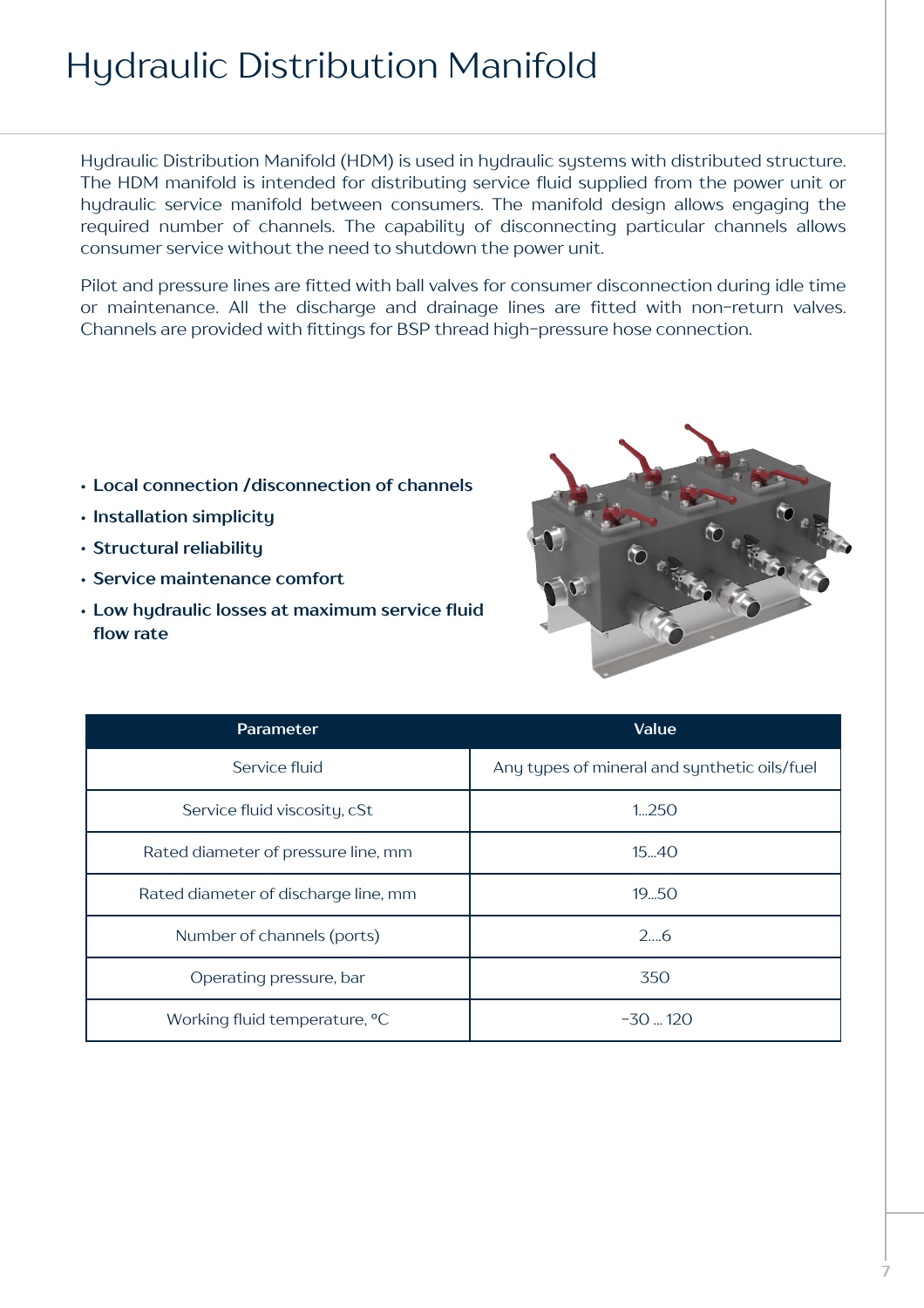### Hydraulic Distribution Manifold

Hydraulic Distribution Manifold (HDM) is used in hydraulic systems with distributed structure. The HDM manifold is intended for distributing service fluid supplied from the power unit or hydraulic service manifold between consumers. The manifold design allows engaging the required number of channels. The capability of disconnecting particular channels allows consumer service without the need to shutdown the power unit.

Pilot and pressure lines are fitted with ball valves for consumer disconnection during idle time or maintenance. All the discharge and drainage lines are fitted with non-return valves. Channels are provided with fittings for BSP thread high-pressure hose connection.

- **• Local connection /disconnection of channels**
- **• Installation simplicity**
- **• Structural reliability**
- **• Service maintenance comfort**
- **• Low hydraulic losses at maximum service fluid flow rate**



| Parameter                            | Value                                        |
|--------------------------------------|----------------------------------------------|
| Service fluid                        | Any types of mineral and synthetic oils/fuel |
| Service fluid viscosity, cSt         | 1,250                                        |
| Rated diameter of pressure line, mm  | 1540                                         |
| Rated diameter of discharge line, mm | 19.50                                        |
| Number of channels (ports)           | 26                                           |
| Operating pressure, bar              | 350                                          |
| Working fluid temperature, °C        | $-30 - 120$                                  |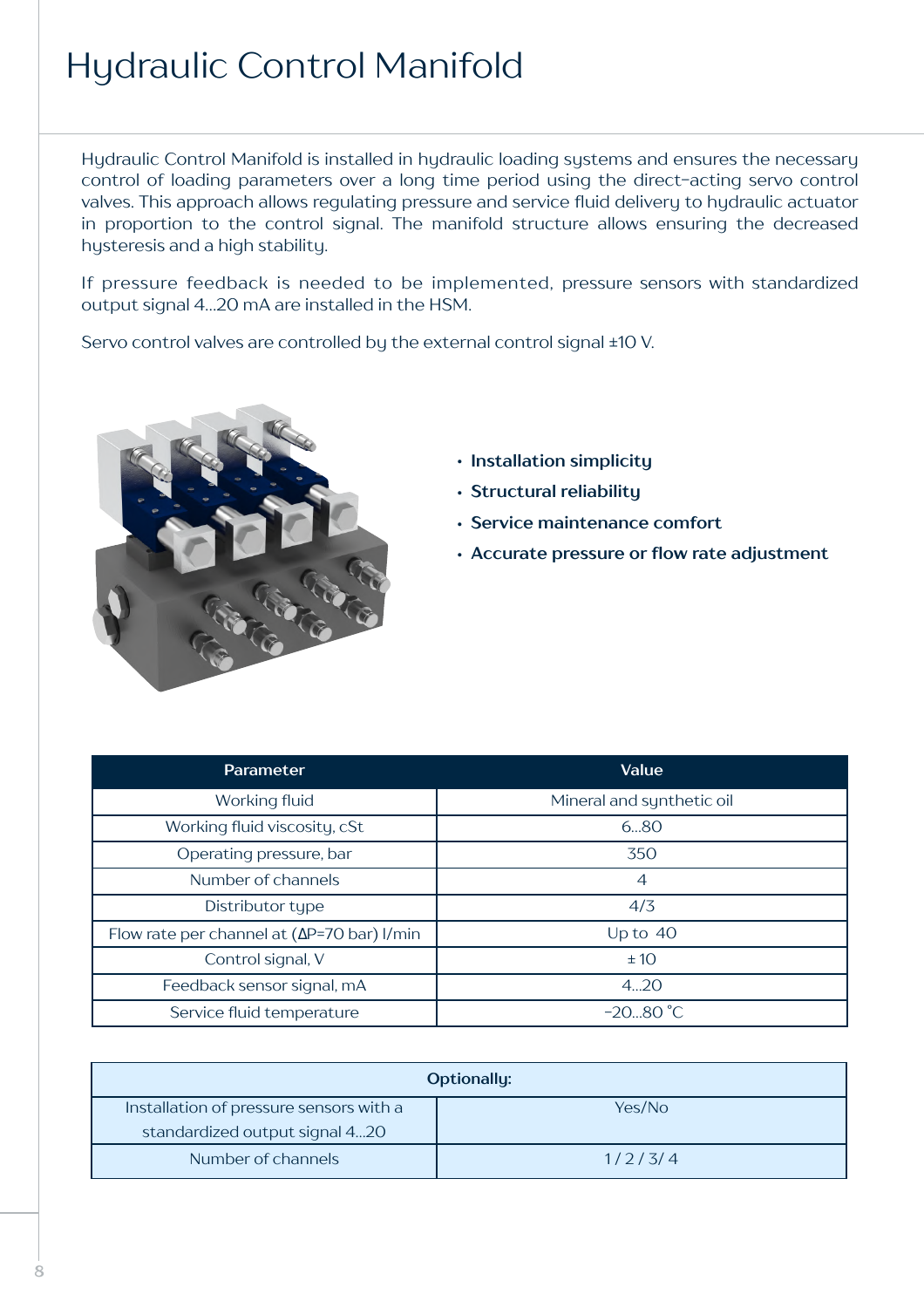### Hydraulic Control Manifold

Hydraulic Control Manifold is installed in hydraulic loading systems and ensures the necessary control of loading parameters over a long time period using the direct-acting servo control valves. This approach allows regulating pressure and service fluid delivery to hydraulic actuator in proportion to the control signal. The manifold structure allows ensuring the decreased hysteresis and a high stability.

If pressure feedback is needed to be implemented, pressure sensors with standardized output signal 4…20 mA are installed in the HSM.

Servo control valves are controlled by the external control signal ±10 V.



- **• Installation simplicity**
- **• Structural reliability**
- **• Service maintenance comfort**
- **• Accurate pressure or flow rate adjustment**

| Parameter                                                  | Value                     |
|------------------------------------------------------------|---------------------------|
| Working fluid                                              | Mineral and synthetic oil |
| Working fluid viscosity, cSt                               | 680                       |
| Operating pressure, bar                                    | 350                       |
| Number of channels                                         | $\overline{4}$            |
| Distributor type                                           | 4/3                       |
| Flow rate per channel at $(\Delta P=70 \text{ bar})$ l/min | Up to $40$                |
| Control signal, V                                          | ±10                       |
| Feedback sensor signal, mA                                 | 420                       |
| Service fluid temperature                                  | $-2080 °C$                |

|                                         | <b>Optionally:</b> |
|-----------------------------------------|--------------------|
| Installation of pressure sensors with a | Yes/No             |
| standardized output signal 420          |                    |
| Number of channels                      | 1/2/3/4            |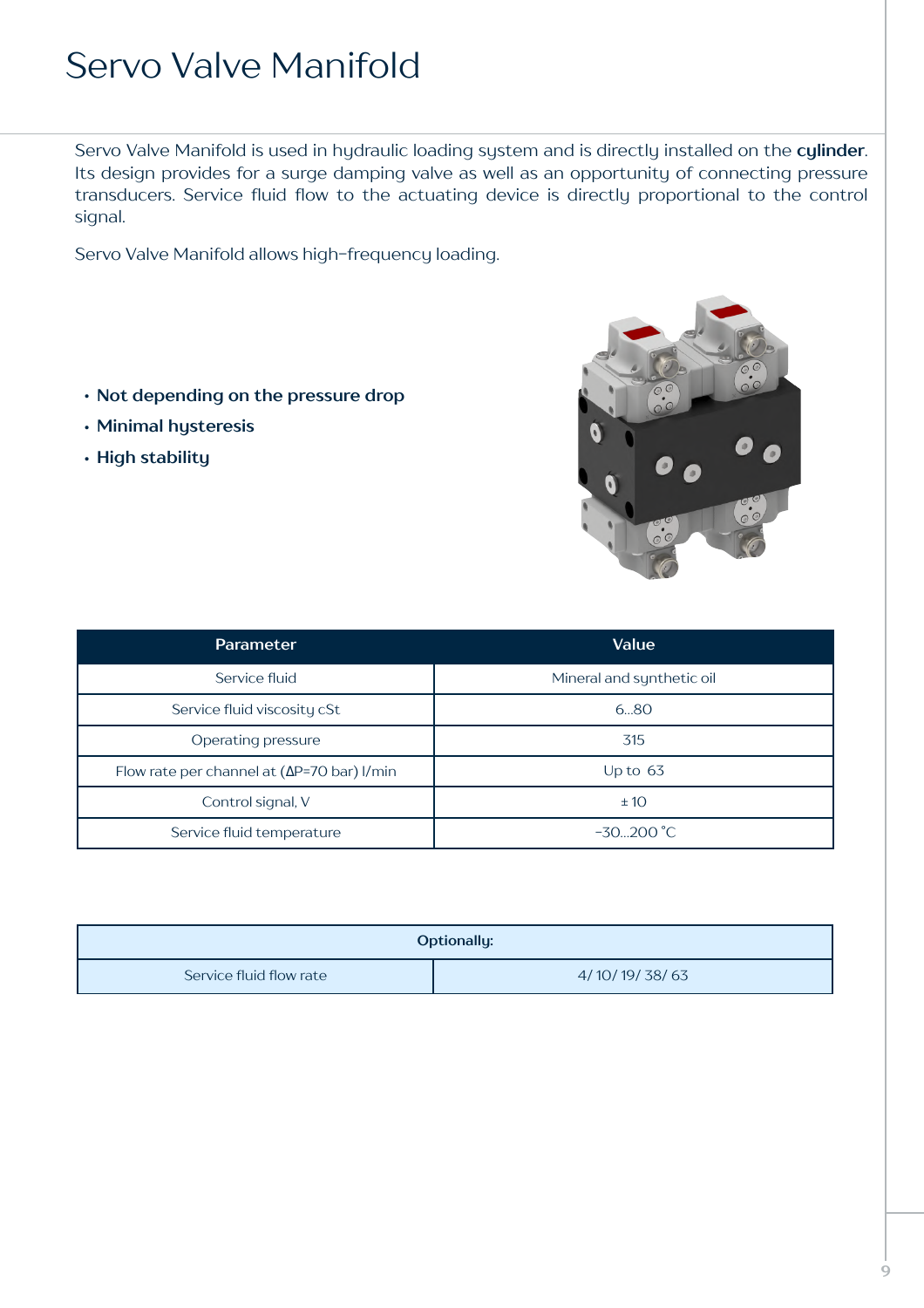### Servo Valve Manifold

Servo Valve Manifold is used in hydraulic loading system and is directly installed on the **cylinder**. Its design provides for a surge damping valve as well as an opportunity of connecting pressure transducers. Service fluid flow to the actuating device is directly proportional to the control signal.

Servo Valve Manifold allows high-frequency loading.

- **• Not depending on the pressure drop**
- **• Minimal hysteresis**
- **• High stability**



| <b>Parameter</b>                                           | Value                     |
|------------------------------------------------------------|---------------------------|
| Service fluid                                              | Mineral and synthetic oil |
| Service fluid viscosity cSt                                | 680                       |
| Operating pressure                                         | 315                       |
| Flow rate per channel at $(\Delta P=70 \text{ bar})$ l/min | Up to $63$                |
| Control signal, V                                          | ±10                       |
| Service fluid temperature                                  | $-30200$ °C               |

| <b>Optionally:</b>      |               |
|-------------------------|---------------|
| Service fluid flow rate | 4/10/19/38/63 |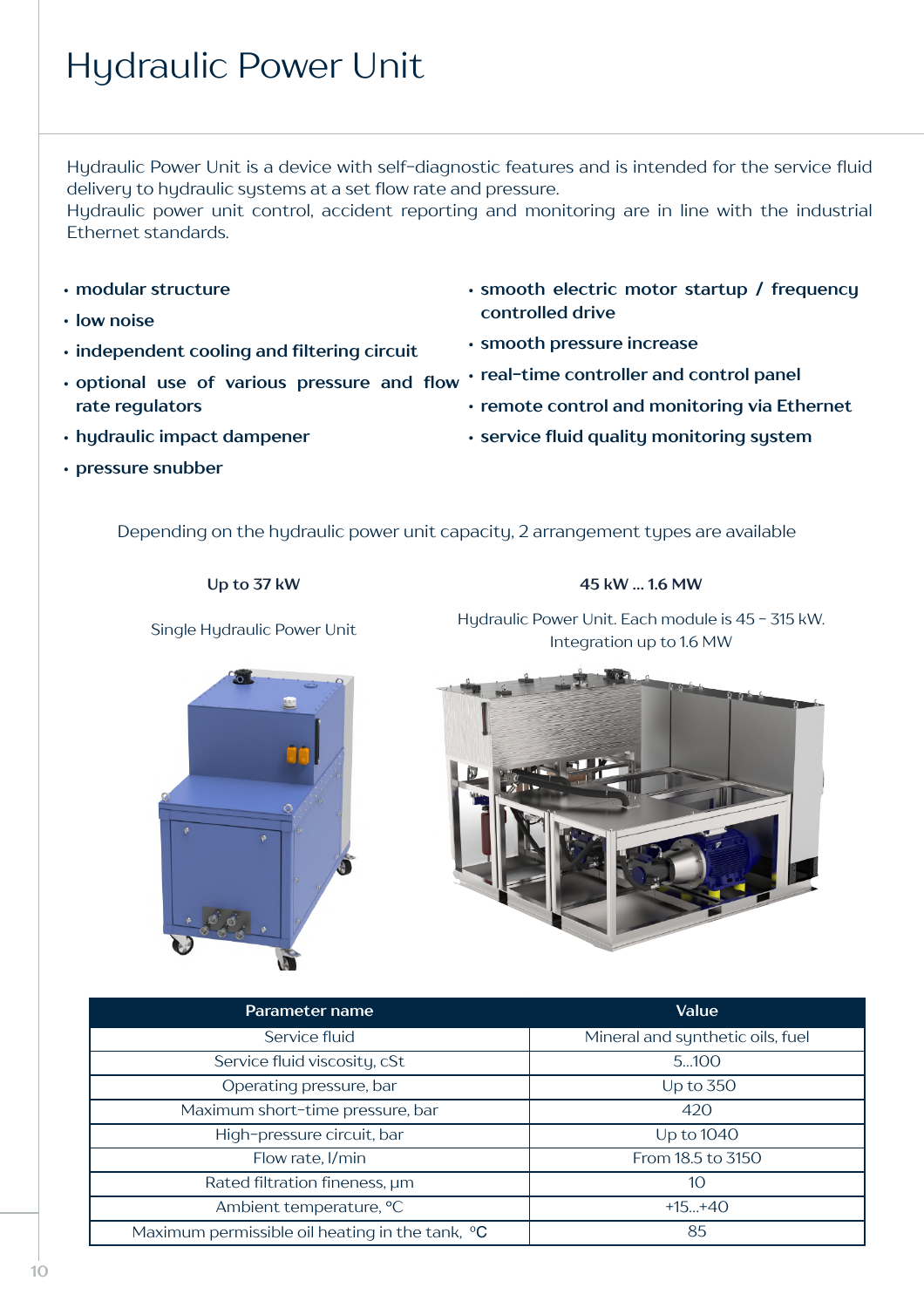## Hydraulic Power Unit

Hydraulic Power Unit is a device with self-diagnostic features and is intended for the service fluid delivery to hydraulic systems at a set flow rate and pressure.

Hydraulic power unit control, accident reporting and monitoring are in line with the industrial Ethernet standards.

- **• modular structure**
- **• low noise**
- **• independent cooling and filtering circuit**
- **• optional use of various pressure and flow rate regulators**
- **• smooth electric motor startup / frequency controlled drive**
- **• smooth pressure increase**
- **• real-time controller and control panel**
	- **• remote control and monitoring via Ethernet**
- **• hydraulic impact dampener**
- **• pressure snubber**

**• service fluid quality monitoring system**

Depending on the hydraulic power unit capacity, 2 arrangement types are available

#### **Up to 37 kW 45 kW … 1.6 MW**

Single Hydraulic Power Unit Hydraulic Power Unit. Each module is 45 - 315 kW. Integration up to 1.6 MW





| Parameter name                                              | Value                            |
|-------------------------------------------------------------|----------------------------------|
| Service fluid                                               | Mineral and synthetic oils, fuel |
| Service fluid viscosity, cSt                                | 5100                             |
| Operating pressure, bar                                     | Up to $350$                      |
| Maximum short-time pressure, bar                            | 420                              |
| High-pressure circuit, bar                                  | Up to 1040                       |
| Flow rate, I/min                                            | From 18.5 to 3150                |
| Rated filtration fineness, um                               | 10                               |
| Ambient temperature, °C                                     | $+15+40$                         |
| Maximum permissible oil heating in the tank, <sup>o</sup> C | 85                               |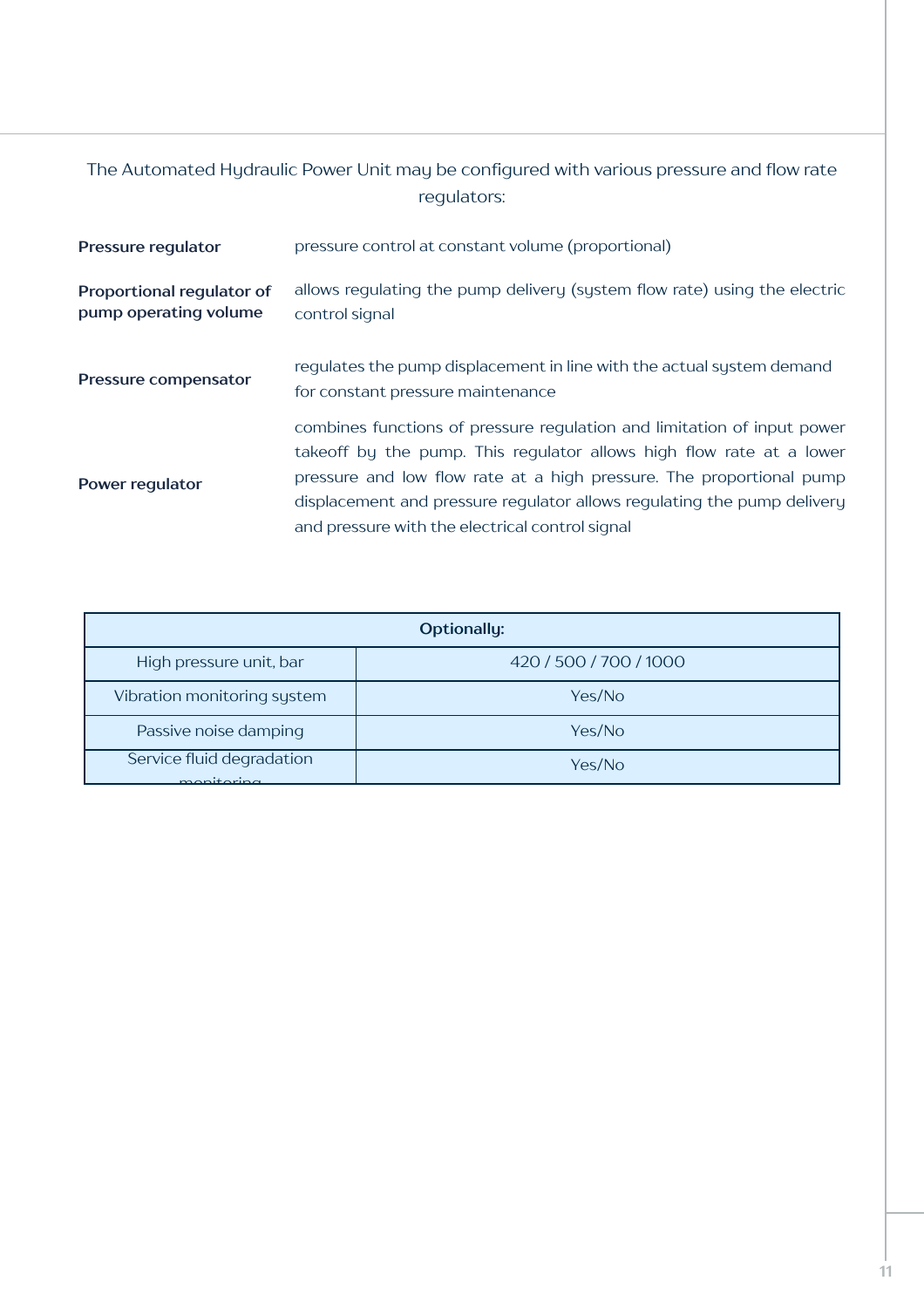#### The Automated Hydraulic Power Unit may be configured with various pressure and flow rate regulators:

| Pressure regulator                                 | pressure control at constant volume (proportional)                                                                                                                                                                                                                                                                                                    |  |
|----------------------------------------------------|-------------------------------------------------------------------------------------------------------------------------------------------------------------------------------------------------------------------------------------------------------------------------------------------------------------------------------------------------------|--|
| Proportional regulator of<br>pump operating volume | allows regulating the pump delivery (system flow rate) using the electric<br>control signal                                                                                                                                                                                                                                                           |  |
| Pressure compensator                               | regulates the pump displacement in line with the actual system demand<br>for constant pressure maintenance                                                                                                                                                                                                                                            |  |
| Power regulator                                    | combines functions of pressure regulation and limitation of input power<br>takeoff by the pump. This regulator allows high flow rate at a lower<br>pressure and low flow rate at a high pressure. The proportional pump<br>displacement and pressure regulator allows regulating the pump delivery<br>and pressure with the electrical control signal |  |

| <b>Optionally:</b>                      |                        |
|-----------------------------------------|------------------------|
| High pressure unit, bar                 | 420 / 500 / 700 / 1000 |
| Vibration monitoring system             | Yes/No                 |
| Passive noise damping                   | Yes/No                 |
| Service fluid degradation<br>monitoring | Yes/No                 |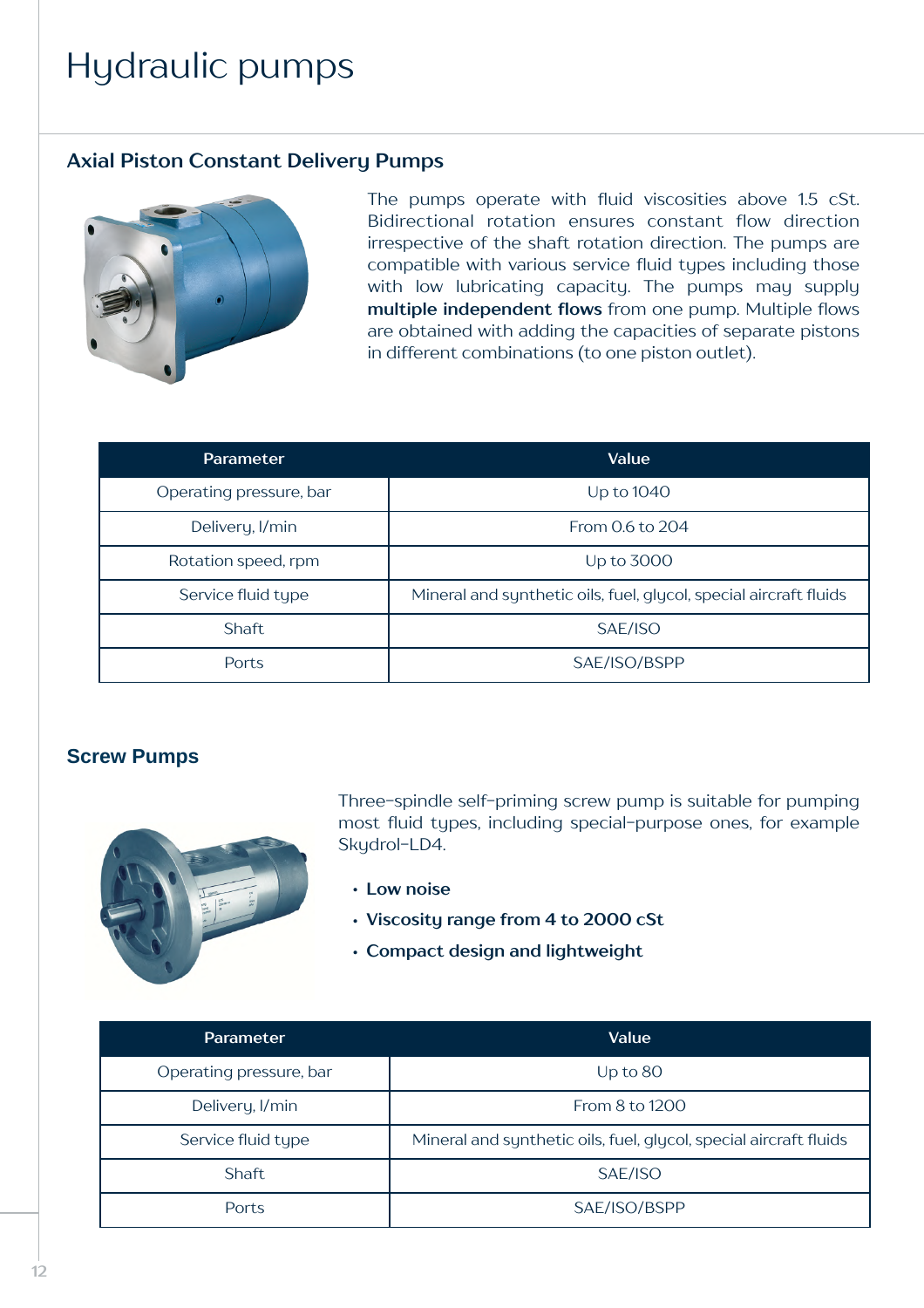### Hydraulic pumps

#### **Axial Piston Constant Delivery Pumps**



The pumps operate with fluid viscosities above 1.5 сSt. Bidirectional rotation ensures constant flow direction irrespective of the shaft rotation direction. The pumps are compatible with various service fluid types including those with low lubricating capacity. The pumps may supply **multiple independent flows** from one pump. Multiple flows are obtained with adding the capacities of separate pistons in different combinations (to one piston outlet).

| <b>Parameter</b>        | Value                                                             |
|-------------------------|-------------------------------------------------------------------|
| Operating pressure, bar | Up to 1040                                                        |
| Delivery, I/min         | From 0.6 to 204                                                   |
| Rotation speed, rpm     | Up to 3000                                                        |
| Service fluid type      | Mineral and synthetic oils, fuel, glycol, special aircraft fluids |
| Shaft.                  | SAE/ISO                                                           |
| Ports                   | SAE/ISO/BSPP                                                      |

#### **Screw Pumps**



Three-spindle self-priming screw pump is suitable for pumping most fluid types, including special-purpose ones, for example Skudrol-LD4.

- **• Low noise**
- **• Viscosity range from 4 to 2000 сSt**
- **• Compact design and lightweight**

| Parameter               | <b>Value</b>                                                      |
|-------------------------|-------------------------------------------------------------------|
| Operating pressure, bar | Up to $80$                                                        |
| Delivery, I/min         | From 8 to 1200                                                    |
| Service fluid type      | Mineral and synthetic oils, fuel, glycol, special aircraft fluids |
| Shaft                   | SAE/ISO                                                           |
| <b>Ports</b>            | SAE/ISO/BSPP                                                      |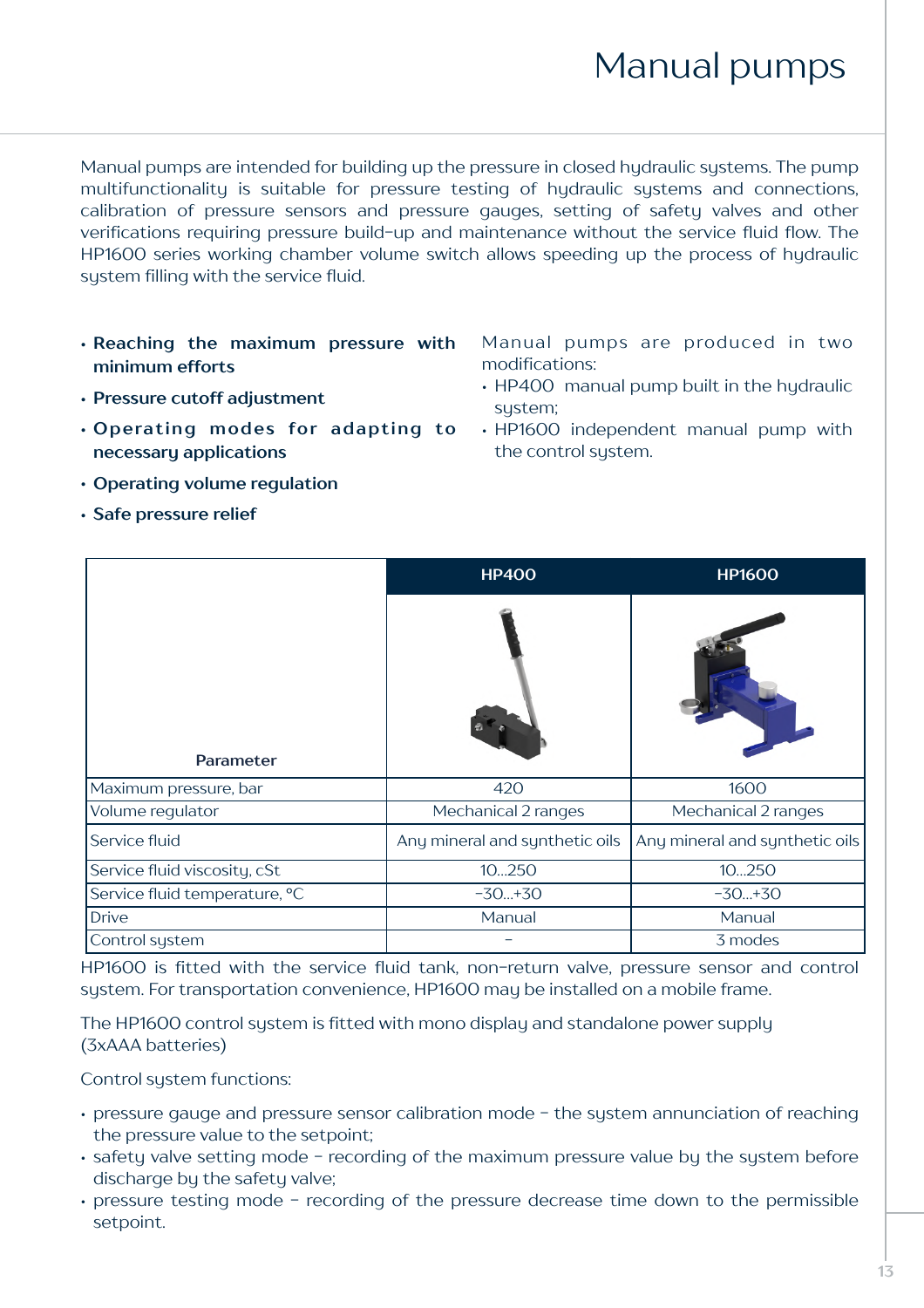### Manual pumps

Manual pumps are intended for building up the pressure in closed hydraulic systems. The pump multifunctionality is suitable for pressure testing of hydraulic systems and connections, calibration of pressure sensors and pressure gauges, setting of safety valves and other verifications requiring pressure build-up and maintenance without the service fluid flow. The HР1600 series working chamber volume switch allows speeding up the process of hydraulic system filling with the service fluid.

- **• Reaching the maximum pressure with minimum efforts**
- **• Pressure cutoff adjustment**
- **• Operating modes for adapting to necessary applications**
- **• Operating volume regulation**
- **• Safe pressure relief**

Manual pumps are produced in two modifications:

- HP400 manual pump built in the hydraulic sustem:
- HP1600 independent manual pump with the control system.

|                               | <b>HP400</b>                   | <b>HP1600</b>                  |
|-------------------------------|--------------------------------|--------------------------------|
| Parameter                     |                                |                                |
| Maximum pressure, bar         | 420                            | 1600                           |
| Volume regulator              | Mechanical 2 ranges            | Mechanical 2 ranges            |
| Service fluid                 | Any mineral and synthetic oils | Any mineral and synthetic oils |
| Service fluid viscosity, cSt  | 10250                          | 10250                          |
| Service fluid temperature, °C | $-30+30$                       | $-30+30$                       |
| <b>Drive</b>                  | Manual                         | Manual                         |
| Control system                |                                | 3 modes                        |

HP1600 is fitted with the service fluid tank, non-return valve, pressure sensor and control system. For transportation convenience, HР1600 may be installed on a mobile frame.

The HР1600 control system is fitted with mono display and standalone power supply (3хААА batteries)

Control system functions:

- pressure gauge and pressure sensor calibration mode the system annunciation of reaching the pressure value to the setpoint;
- safety valve setting mode recording of the maximum pressure value by the system before discharge by the safety valve;
- pressure testing mode recording of the pressure decrease time down to the permissible setpoint.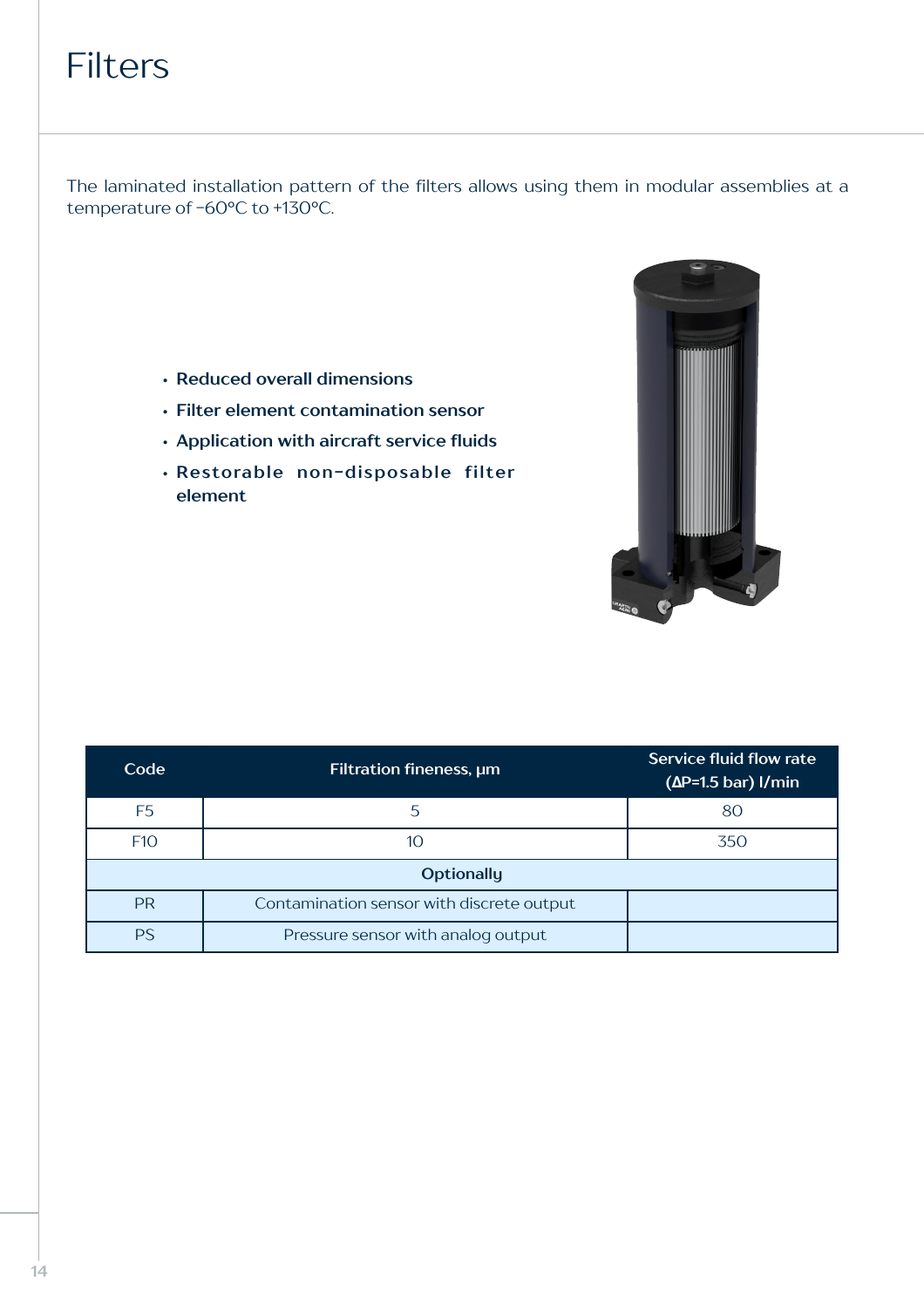### **Filters**

The laminated installation pattern of the filters allows using them in modular assemblies at a temperature of -60°C to +130°C.

- **• Reduced overall dimensions**
- **• Filter element contamination sensor**
- **• Application with aircraft service fluids**
- **• Restorable non-disposable filter element**



| Code                                                   | Filtration fineness, um            | Service fluid flow rate<br>$(\Delta P = 1.5$ bar) I/min |
|--------------------------------------------------------|------------------------------------|---------------------------------------------------------|
| F <sub>5</sub>                                         | 5                                  | 80                                                      |
| F <sub>10</sub>                                        | 10                                 | 350                                                     |
| <b>Optionally</b>                                      |                                    |                                                         |
| <b>PR</b><br>Contamination sensor with discrete output |                                    |                                                         |
| <b>PS</b>                                              | Pressure sensor with analog output |                                                         |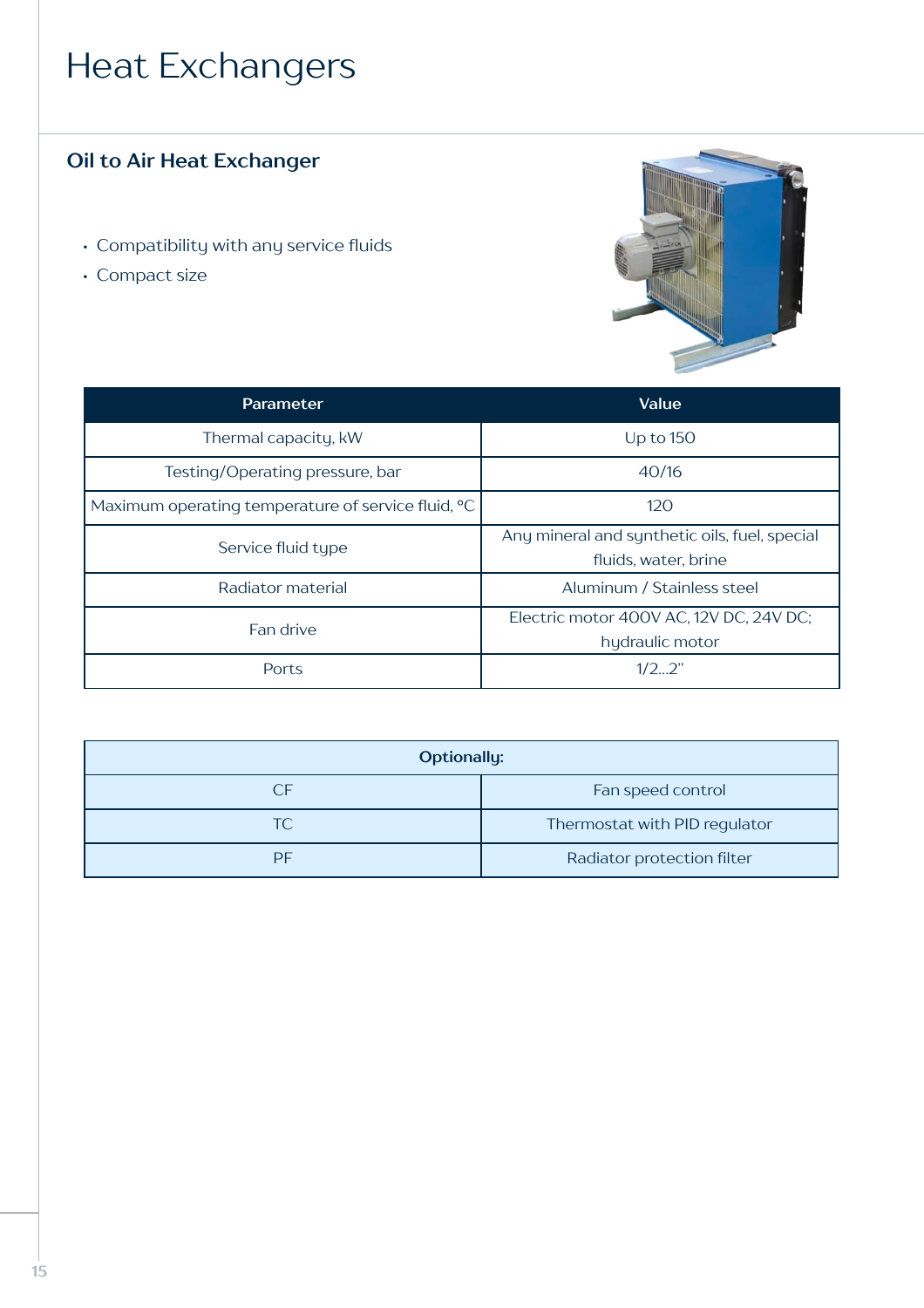### Heat Exchangers

### **Oil to Air Heat Exchanger**

- Compatibility with any service fluids
- Compact size



| <b>Parameter</b>                                   | Value                                                                 |
|----------------------------------------------------|-----------------------------------------------------------------------|
| Thermal capacity, kW                               | Up to $150$                                                           |
| Testing/Operating pressure, bar                    | 40/16                                                                 |
| Maximum operating temperature of service fluid, °C | 120                                                                   |
| Service fluid type                                 | Any mineral and synthetic oils, fuel, special<br>fluids, water, brine |
| Radiator material                                  | Aluminum / Stainless steel                                            |
| Fan drive                                          | Electric motor 400V AC, 12V DC, 24V DC;<br>hydraulic motor            |
| Ports                                              | 1/22"                                                                 |

| <b>Optionally:</b> |                               |
|--------------------|-------------------------------|
| CF.                | Fan speed control             |
| TC                 | Thermostat with PID regulator |
| PF                 | Radiator protection filter    |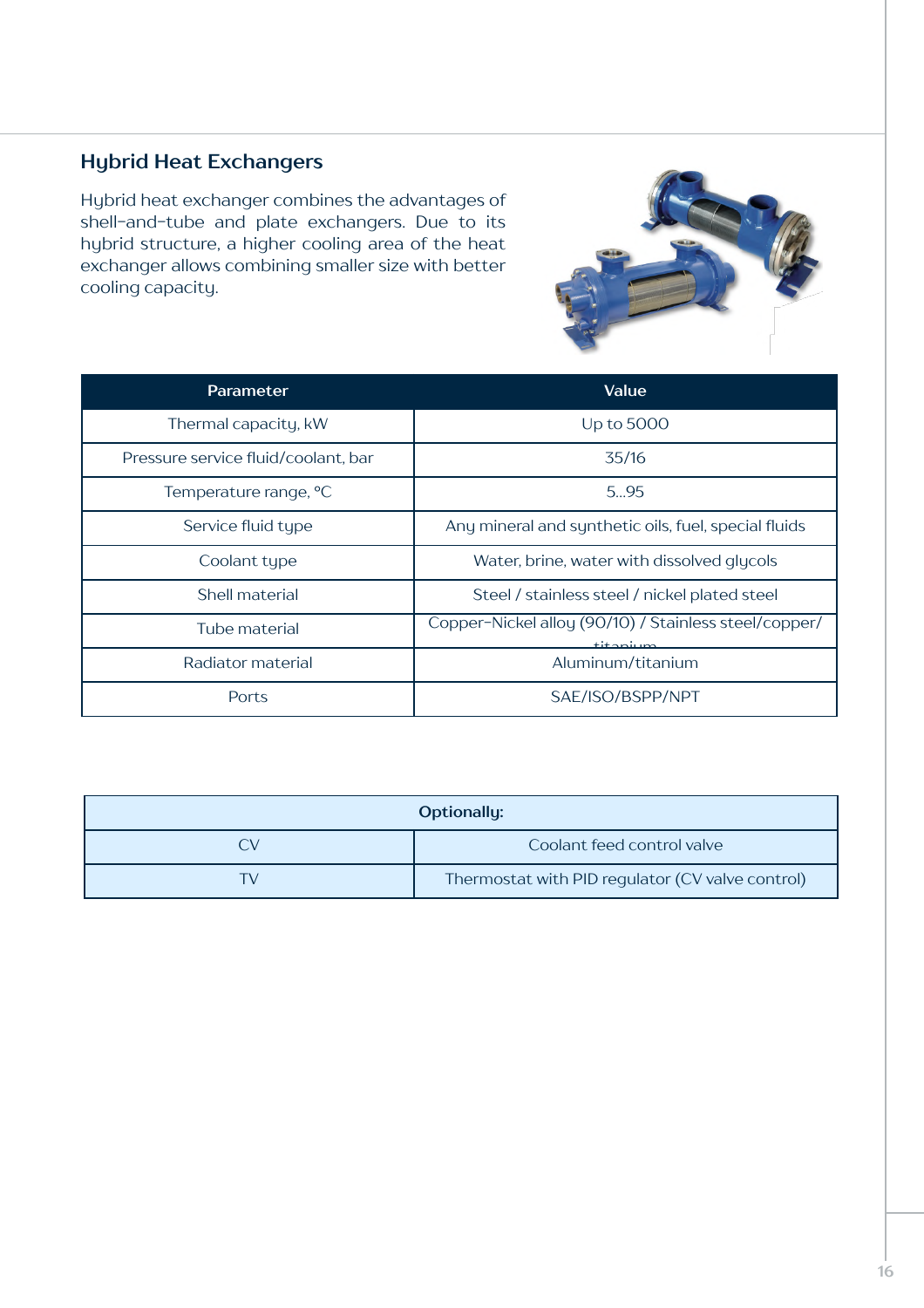#### **Hybrid Heat Exchangers**

Hybrid heat exchanger combines the advantages of shell-and-tube and plate exchangers. Due to its hybrid structure, a higher cooling area of the heat exchanger allows combining smaller size with better cooling capacity.



| Parameter                           | Value                                                                                     |
|-------------------------------------|-------------------------------------------------------------------------------------------|
| Thermal capacity, kW                | Up to 5000                                                                                |
| Pressure service fluid/coolant, bar | 35/16                                                                                     |
| Temperature range, °C               | 595                                                                                       |
| Service fluid type                  | Any mineral and synthetic oils, fuel, special fluids                                      |
| Coolant type                        | Water, brine, water with dissolved glycols                                                |
| Shell material                      | Steel / stainless steel / nickel plated steel                                             |
| Tube material                       | Copper-Nickel alloy (90/10) / Stainless steel/copper/<br>$+$ i $+$ $\sim$ $\sim$ i $\sim$ |
| Radiator material                   | Aluminum/titanium                                                                         |
| Ports                               | SAE/ISO/BSPP/NPT                                                                          |

| <b>Optionally:</b> |                                                  |
|--------------------|--------------------------------------------------|
| ิ∖∕                | Coolant feed control valve                       |
| ГV                 | Thermostat with PID regulator (CV valve control) |